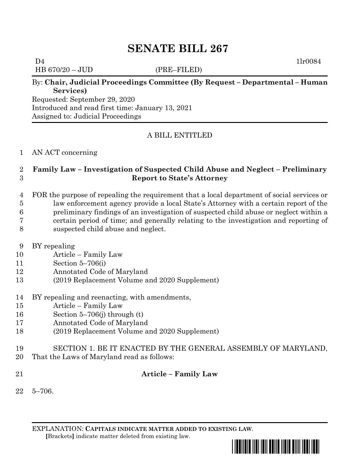HB 670/20 – JUD (PRE–FILED)

 $D4$  1lr0084

### By: **Chair, Judicial Proceedings Committee (By Request – Departmental – Human Services)**

Requested: September 29, 2020 Introduced and read first time: January 13, 2021 Assigned to: Judicial Proceedings

## A BILL ENTITLED

#### AN ACT concerning

### **Family Law – Investigation of Suspected Child Abuse and Neglect – Preliminary Report to State's Attorney**

- FOR the purpose of repealing the requirement that a local department of social services or law enforcement agency provide a local State's Attorney with a certain report of the preliminary findings of an investigation of suspected child abuse or neglect within a certain period of time; and generally relating to the investigation and reporting of suspected child abuse and neglect.
- BY repealing
- Article Family Law
- Section 5–706(i)
- Annotated Code of Maryland
- (2019 Replacement Volume and 2020 Supplement)
- BY repealing and reenacting, with amendments,
- Article Family Law
- Section 5–706(j) through (t)
- Annotated Code of Maryland
- (2019 Replacement Volume and 2020 Supplement)
- SECTION 1. BE IT ENACTED BY THE GENERAL ASSEMBLY OF MARYLAND,
- That the Laws of Maryland read as follows:
- 

## **Article – Family Law**

5–706.

EXPLANATION: **CAPITALS INDICATE MATTER ADDED TO EXISTING LAW**.  **[**Brackets**]** indicate matter deleted from existing law.

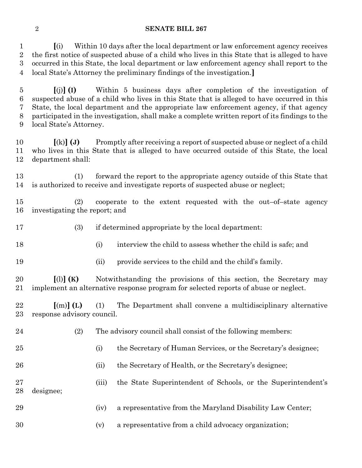**[**(i) Within 10 days after the local department or law enforcement agency receives the first notice of suspected abuse of a child who lives in this State that is alleged to have occurred in this State, the local department or law enforcement agency shall report to the local State's Attorney the preliminary findings of the investigation.**]**

 **[**(j)**] (I)** Within 5 business days after completion of the investigation of suspected abuse of a child who lives in this State that is alleged to have occurred in this State, the local department and the appropriate law enforcement agency, if that agency participated in the investigation, shall make a complete written report of its findings to the local State's Attorney.

 **[**(k)**] (J)** Promptly after receiving a report of suspected abuse or neglect of a child who lives in this State that is alleged to have occurred outside of this State, the local department shall:

 (1) forward the report to the appropriate agency outside of this State that is authorized to receive and investigate reports of suspected abuse or neglect;

 (2) cooperate to the extent requested with the out–of–state agency investigating the report; and

- (3) if determined appropriate by the local department:
- (i) interview the child to assess whether the child is safe; and
- (ii) provide services to the child and the child's family.

 **[**(l)**] (K)** Notwithstanding the provisions of this section, the Secretary may implement an alternative response program for selected reports of abuse or neglect.

- **[**(m)**] (L)** (1) The Department shall convene a multidisciplinary alternative response advisory council.
- (2) The advisory council shall consist of the following members:
- (i) the Secretary of Human Services, or the Secretary's designee;
- 26 (ii) the Secretary of Health, or the Secretary's designee;
- (iii) the State Superintendent of Schools, or the Superintendent's designee;
- 29 (iv) a representative from the Maryland Disability Law Center;
- (v) a representative from a child advocacy organization;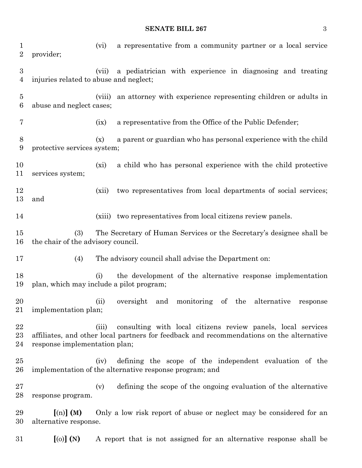#### **SENATE BILL 267** 3

| $\mathbf{1}$<br>$\sqrt{2}$ | provider;                                                                                                         | (vi)    | a representative from a community partner or a local service                                                                                             |
|----------------------------|-------------------------------------------------------------------------------------------------------------------|---------|----------------------------------------------------------------------------------------------------------------------------------------------------------|
| $\sqrt{3}$<br>4            | injuries related to abuse and neglect;                                                                            | (vii)   | a pediatrician with experience in diagnosing and treating                                                                                                |
| $\overline{5}$<br>6        | abuse and neglect cases;                                                                                          | (viii)  | an attorney with experience representing children or adults in                                                                                           |
| $\overline{7}$             |                                                                                                                   | (ix)    | a representative from the Office of the Public Defender;                                                                                                 |
| $8\,$<br>9                 | protective services system;                                                                                       | (x)     | a parent or guardian who has personal experience with the child                                                                                          |
| 10<br>11                   | services system;                                                                                                  | $(x_i)$ | a child who has personal experience with the child protective                                                                                            |
| 12<br>13                   | and                                                                                                               | (xii)   | two representatives from local departments of social services;                                                                                           |
| 14                         |                                                                                                                   | (xiii)  | two representatives from local citizens review panels.                                                                                                   |
| 15<br>16                   | The Secretary of Human Services or the Secretary's designee shall be<br>(3)<br>the chair of the advisory council. |         |                                                                                                                                                          |
| 17                         | (4)                                                                                                               |         | The advisory council shall advise the Department on:                                                                                                     |
| 18<br>19                   | plan, which may include a pilot program;                                                                          | (i)     | the development of the alternative response implementation                                                                                               |
| 20<br>21                   | implementation plan;                                                                                              | (ii)    | monitoring of the alternative<br>oversight<br>and<br>response                                                                                            |
| 22<br>23<br>24             | response implementation plan;                                                                                     | (iii)   | consulting with local citizens review panels, local services<br>affiliates, and other local partners for feedback and recommendations on the alternative |
| 25<br>26                   |                                                                                                                   | (iv)    | defining the scope of the independent evaluation of the<br>implementation of the alternative response program; and                                       |
| 27<br>28                   | response program.                                                                                                 | (v)     | defining the scope of the ongoing evaluation of the alternative                                                                                          |
| 29<br>30                   | $[(n)]$ (M)<br>alternative response.                                                                              |         | Only a low risk report of abuse or neglect may be considered for an                                                                                      |
| 31                         | $[00]$ (N)                                                                                                        |         | A report that is not assigned for an alternative response shall be                                                                                       |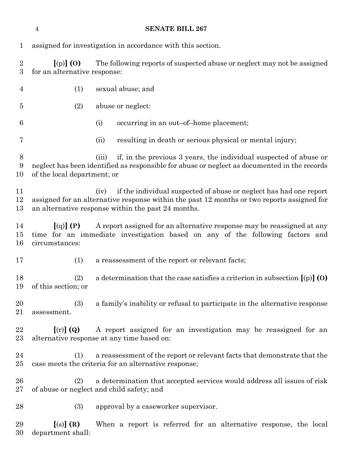assigned for investigation in accordance with this section. **[**(p)**] (O)** The following reports of suspected abuse or neglect may not be assigned for an alternative response: (1) sexual abuse; and (2) abuse or neglect: (i) occurring in an out–of–home placement; (ii) resulting in death or serious physical or mental injury; (iii) if, in the previous 3 years, the individual suspected of abuse or neglect has been identified as responsible for abuse or neglect as documented in the records of the local department; or (iv) if the individual suspected of abuse or neglect has had one report assigned for an alternative response within the past 12 months or two reports assigned for an alternative response within the past 24 months. **[**(q)**] (P)** A report assigned for an alternative response may be reassigned at any time for an immediate investigation based on any of the following factors and circumstances: (1) a reassessment of the report or relevant facts; (2) a determination that the case satisfies a criterion in subsection **[**(p)**](O)** of this section; or (3) a family's inability or refusal to participate in the alternative response assessment. **[**(r)**] (Q)** A report assigned for an investigation may be reassigned for an alternative response at any time based on: (1) a reassessment of the report or relevant facts that demonstrate that the case meets the criteria for an alternative response; (2) a determination that accepted services would address all issues of risk of abuse or neglect and child safety; and (3) approval by a caseworker supervisor. **[**(s)**] (R)** When a report is referred for an alternative response, the local department shall: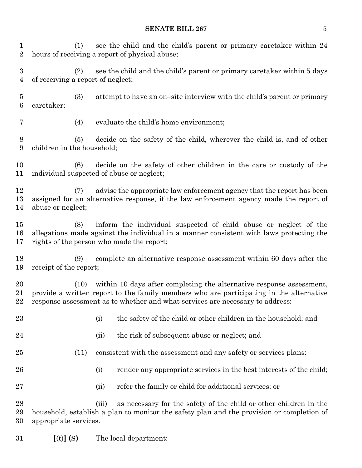#### **SENATE BILL 267** 5

 (1) see the child and the child's parent or primary caretaker within 24 hours of receiving a report of physical abuse; (2) see the child and the child's parent or primary caretaker within 5 days of receiving a report of neglect; (3) attempt to have an on–site interview with the child's parent or primary caretaker; (4) evaluate the child's home environment; (5) decide on the safety of the child, wherever the child is, and of other children in the household; (6) decide on the safety of other children in the care or custody of the individual suspected of abuse or neglect; (7) advise the appropriate law enforcement agency that the report has been assigned for an alternative response, if the law enforcement agency made the report of abuse or neglect; (8) inform the individual suspected of child abuse or neglect of the allegations made against the individual in a manner consistent with laws protecting the rights of the person who made the report; (9) complete an alternative response assessment within 60 days after the receipt of the report; (10) within 10 days after completing the alternative response assessment, provide a written report to the family members who are participating in the alternative response assessment as to whether and what services are necessary to address: 23 (i) the safety of the child or other children in the household; and 24 (ii) the risk of subsequent abuse or neglect; and (11) consistent with the assessment and any safety or services plans: 26 (i) render any appropriate services in the best interests of the child; 27 (ii) refer the family or child for additional services; or (iii) as necessary for the safety of the child or other children in the household, establish a plan to monitor the safety plan and the provision or completion of appropriate services.

**[**(t)**] (S)** The local department: